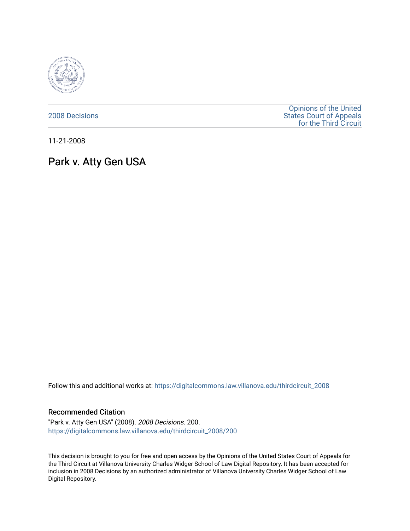

[2008 Decisions](https://digitalcommons.law.villanova.edu/thirdcircuit_2008)

[Opinions of the United](https://digitalcommons.law.villanova.edu/thirdcircuit)  [States Court of Appeals](https://digitalcommons.law.villanova.edu/thirdcircuit)  [for the Third Circuit](https://digitalcommons.law.villanova.edu/thirdcircuit) 

11-21-2008

## Park v. Atty Gen USA

Follow this and additional works at: [https://digitalcommons.law.villanova.edu/thirdcircuit\\_2008](https://digitalcommons.law.villanova.edu/thirdcircuit_2008?utm_source=digitalcommons.law.villanova.edu%2Fthirdcircuit_2008%2F200&utm_medium=PDF&utm_campaign=PDFCoverPages) 

## Recommended Citation

"Park v. Atty Gen USA" (2008). 2008 Decisions. 200. [https://digitalcommons.law.villanova.edu/thirdcircuit\\_2008/200](https://digitalcommons.law.villanova.edu/thirdcircuit_2008/200?utm_source=digitalcommons.law.villanova.edu%2Fthirdcircuit_2008%2F200&utm_medium=PDF&utm_campaign=PDFCoverPages)

This decision is brought to you for free and open access by the Opinions of the United States Court of Appeals for the Third Circuit at Villanova University Charles Widger School of Law Digital Repository. It has been accepted for inclusion in 2008 Decisions by an authorized administrator of Villanova University Charles Widger School of Law Digital Repository.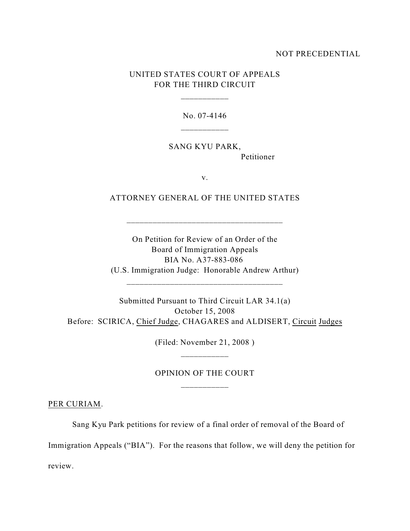## NOT PRECEDENTIAL

## UNITED STATES COURT OF APPEALS FOR THE THIRD CIRCUIT

\_\_\_\_\_\_\_\_\_\_\_

No. 07-4146

SANG KYU PARK, Petitioner

v.

ATTORNEY GENERAL OF THE UNITED STATES

\_\_\_\_\_\_\_\_\_\_\_\_\_\_\_\_\_\_\_\_\_\_\_\_\_\_\_\_\_\_\_\_\_\_\_\_

On Petition for Review of an Order of the Board of Immigration Appeals BIA No. A37-883-086 (U.S. Immigration Judge: Honorable Andrew Arthur)

\_\_\_\_\_\_\_\_\_\_\_\_\_\_\_\_\_\_\_\_\_\_\_\_\_\_\_\_\_\_\_\_\_\_\_\_

Submitted Pursuant to Third Circuit LAR 34.1(a) October 15, 2008 Before: SCIRICA, Chief Judge, CHAGARES and ALDISERT, Circuit Judges

> (Filed: November 21, 2008 ) \_\_\_\_\_\_\_\_\_\_\_

> OPINION OF THE COURT

PER CURIAM.

Sang Kyu Park petitions for review of a final order of removal of the Board of

Immigration Appeals ("BIA"). For the reasons that follow, we will deny the petition for

review.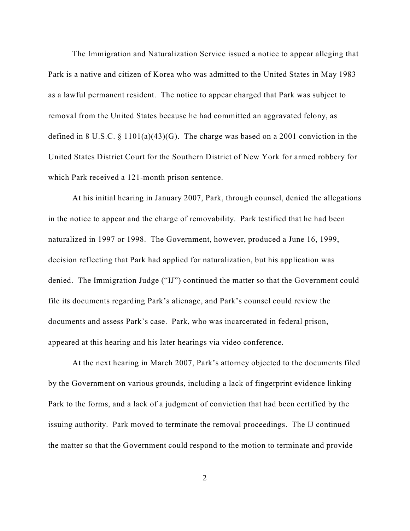The Immigration and Naturalization Service issued a notice to appear alleging that Park is a native and citizen of Korea who was admitted to the United States in May 1983 as a lawful permanent resident. The notice to appear charged that Park was subject to removal from the United States because he had committed an aggravated felony, as defined in 8 U.S.C. § 1101(a)(43)(G). The charge was based on a 2001 conviction in the United States District Court for the Southern District of New York for armed robbery for which Park received a 121-month prison sentence.

At his initial hearing in January 2007, Park, through counsel, denied the allegations in the notice to appear and the charge of removability. Park testified that he had been naturalized in 1997 or 1998. The Government, however, produced a June 16, 1999, decision reflecting that Park had applied for naturalization, but his application was denied. The Immigration Judge ("IJ") continued the matter so that the Government could file its documents regarding Park's alienage, and Park's counsel could review the documents and assess Park's case. Park, who was incarcerated in federal prison, appeared at this hearing and his later hearings via video conference.

At the next hearing in March 2007, Park's attorney objected to the documents filed by the Government on various grounds, including a lack of fingerprint evidence linking Park to the forms, and a lack of a judgment of conviction that had been certified by the issuing authority. Park moved to terminate the removal proceedings. The IJ continued the matter so that the Government could respond to the motion to terminate and provide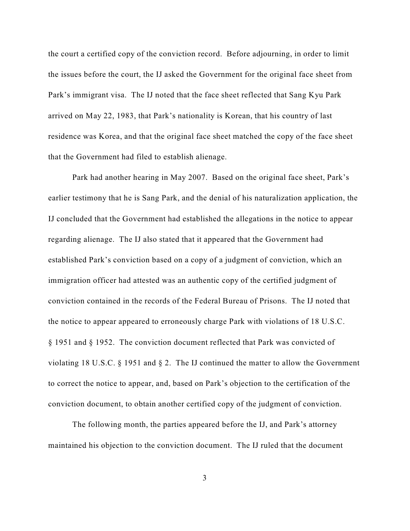the court a certified copy of the conviction record. Before adjourning, in order to limit the issues before the court, the IJ asked the Government for the original face sheet from Park's immigrant visa. The IJ noted that the face sheet reflected that Sang Kyu Park arrived on May 22, 1983, that Park's nationality is Korean, that his country of last residence was Korea, and that the original face sheet matched the copy of the face sheet that the Government had filed to establish alienage.

Park had another hearing in May 2007. Based on the original face sheet, Park's earlier testimony that he is Sang Park, and the denial of his naturalization application, the IJ concluded that the Government had established the allegations in the notice to appear regarding alienage. The IJ also stated that it appeared that the Government had established Park's conviction based on a copy of a judgment of conviction, which an immigration officer had attested was an authentic copy of the certified judgment of conviction contained in the records of the Federal Bureau of Prisons. The IJ noted that the notice to appear appeared to erroneously charge Park with violations of 18 U.S.C. § 1951 and § 1952. The conviction document reflected that Park was convicted of violating 18 U.S.C. § 1951 and § 2. The IJ continued the matter to allow the Government to correct the notice to appear, and, based on Park's objection to the certification of the conviction document, to obtain another certified copy of the judgment of conviction.

The following month, the parties appeared before the IJ, and Park's attorney maintained his objection to the conviction document. The IJ ruled that the document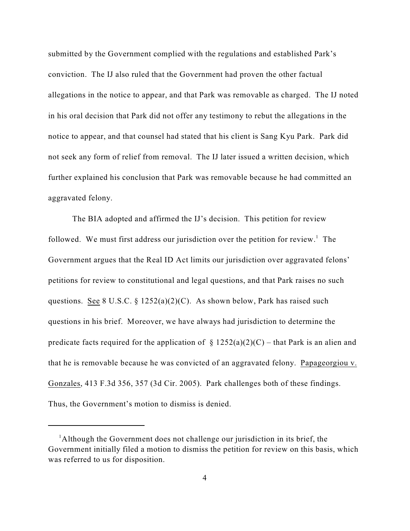submitted by the Government complied with the regulations and established Park's conviction. The IJ also ruled that the Government had proven the other factual allegations in the notice to appear, and that Park was removable as charged. The IJ noted in his oral decision that Park did not offer any testimony to rebut the allegations in the notice to appear, and that counsel had stated that his client is Sang Kyu Park. Park did not seek any form of relief from removal. The IJ later issued a written decision, which further explained his conclusion that Park was removable because he had committed an aggravated felony.

The BIA adopted and affirmed the IJ's decision. This petition for review followed. We must first address our jurisdiction over the petition for review.<sup>1</sup> The Government argues that the Real ID Act limits our jurisdiction over aggravated felons' petitions for review to constitutional and legal questions, and that Park raises no such questions. See 8 U.S.C. §  $1252(a)(2)(C)$ . As shown below, Park has raised such questions in his brief. Moreover, we have always had jurisdiction to determine the predicate facts required for the application of  $\S 1252(a)(2)(C)$  – that Park is an alien and that he is removable because he was convicted of an aggravated felony. Papageorgiou v. Gonzales, 413 F.3d 356, 357 (3d Cir. 2005). Park challenges both of these findings. Thus, the Government's motion to dismiss is denied.

<sup>&</sup>lt;sup>1</sup>Although the Government does not challenge our jurisdiction in its brief, the Government initially filed a motion to dismiss the petition for review on this basis, which was referred to us for disposition.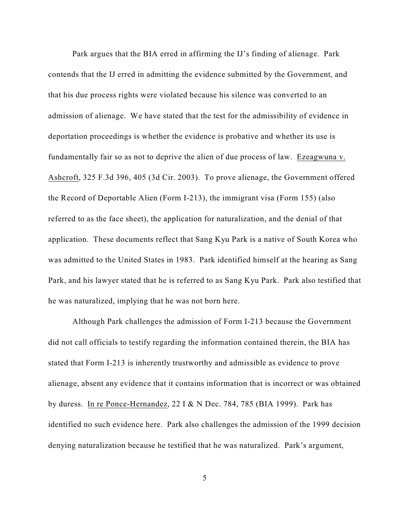Park argues that the BIA erred in affirming the IJ's finding of alienage. Park contends that the IJ erred in admitting the evidence submitted by the Government, and that his due process rights were violated because his silence was converted to an admission of alienage. We have stated that the test for the admissibility of evidence in deportation proceedings is whether the evidence is probative and whether its use is fundamentally fair so as not to deprive the alien of due process of law. Ezeagwuna v. Ashcroft, 325 F.3d 396, 405 (3d Cir. 2003). To prove alienage, the Government offered the Record of Deportable Alien (Form I-213), the immigrant visa (Form 155) (also referred to as the face sheet), the application for naturalization, and the denial of that application. These documents reflect that Sang Kyu Park is a native of South Korea who was admitted to the United States in 1983. Park identified himself at the hearing as Sang Park, and his lawyer stated that he is referred to as Sang Kyu Park. Park also testified that he was naturalized, implying that he was not born here.

Although Park challenges the admission of Form I-213 because the Government did not call officials to testify regarding the information contained therein, the BIA has stated that Form I-213 is inherently trustworthy and admissible as evidence to prove alienage, absent any evidence that it contains information that is incorrect or was obtained by duress. In re Ponce-Hernandez, 22 I & N Dec. 784, 785 (BIA 1999). Park has identified no such evidence here. Park also challenges the admission of the 1999 decision denying naturalization because he testified that he was naturalized. Park's argument,

5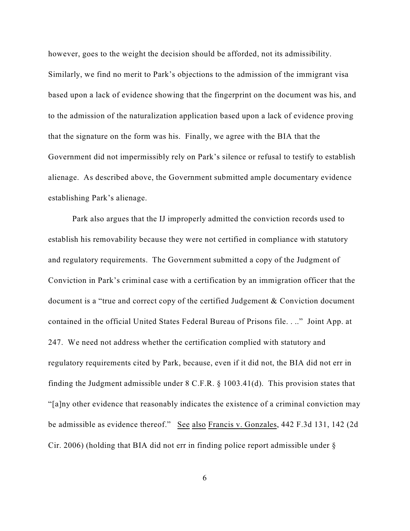however, goes to the weight the decision should be afforded, not its admissibility. Similarly, we find no merit to Park's objections to the admission of the immigrant visa based upon a lack of evidence showing that the fingerprint on the document was his, and to the admission of the naturalization application based upon a lack of evidence proving that the signature on the form was his. Finally, we agree with the BIA that the Government did not impermissibly rely on Park's silence or refusal to testify to establish alienage. As described above, the Government submitted ample documentary evidence establishing Park's alienage.

Park also argues that the IJ improperly admitted the conviction records used to establish his removability because they were not certified in compliance with statutory and regulatory requirements. The Government submitted a copy of the Judgment of Conviction in Park's criminal case with a certification by an immigration officer that the document is a "true and correct copy of the certified Judgement & Conviction document contained in the official United States Federal Bureau of Prisons file. . .." Joint App. at 247. We need not address whether the certification complied with statutory and regulatory requirements cited by Park, because, even if it did not, the BIA did not err in finding the Judgment admissible under 8 C.F.R. § 1003.41(d). This provision states that "[a]ny other evidence that reasonably indicates the existence of a criminal conviction may be admissible as evidence thereof." See also Francis v. Gonzales, 442 F.3d 131, 142 (2d Cir. 2006) (holding that BIA did not err in finding police report admissible under §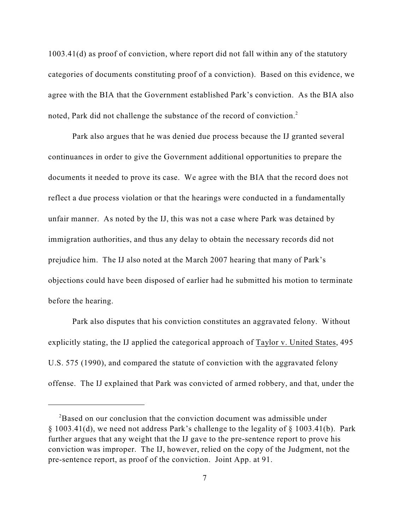1003.41(d) as proof of conviction, where report did not fall within any of the statutory categories of documents constituting proof of a conviction). Based on this evidence, we agree with the BIA that the Government established Park's conviction. As the BIA also noted, Park did not challenge the substance of the record of conviction.<sup>2</sup>

Park also argues that he was denied due process because the IJ granted several continuances in order to give the Government additional opportunities to prepare the documents it needed to prove its case. We agree with the BIA that the record does not reflect a due process violation or that the hearings were conducted in a fundamentally unfair manner. As noted by the IJ, this was not a case where Park was detained by immigration authorities, and thus any delay to obtain the necessary records did not prejudice him. The IJ also noted at the March 2007 hearing that many of Park's objections could have been disposed of earlier had he submitted his motion to terminate before the hearing.

Park also disputes that his conviction constitutes an aggravated felony. Without explicitly stating, the IJ applied the categorical approach of Taylor v. United States, 495 U.S. 575 (1990), and compared the statute of conviction with the aggravated felony offense. The IJ explained that Park was convicted of armed robbery, and that, under the

 $\rm^{2}$ Based on our conclusion that the conviction document was admissible under § 1003.41(d), we need not address Park's challenge to the legality of § 1003.41(b). Park further argues that any weight that the IJ gave to the pre-sentence report to prove his conviction was improper. The IJ, however, relied on the copy of the Judgment, not the pre-sentence report, as proof of the conviction. Joint App. at 91.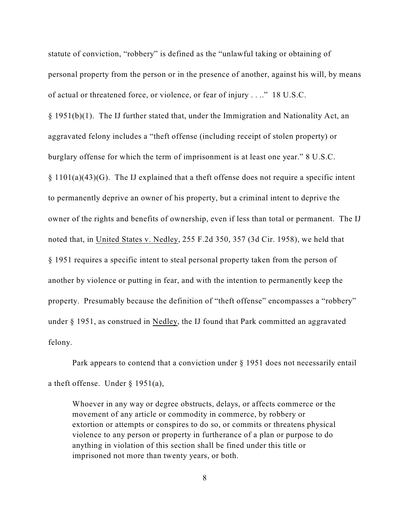statute of conviction, "robbery" is defined as the "unlawful taking or obtaining of personal property from the person or in the presence of another, against his will, by means of actual or threatened force, or violence, or fear of injury . . .." 18 U.S.C.  $\S 1951(b)(1)$ . The IJ further stated that, under the Immigration and Nationality Act, an aggravated felony includes a "theft offense (including receipt of stolen property) or burglary offense for which the term of imprisonment is at least one year." 8 U.S.C. § 1101(a)(43)(G). The IJ explained that a theft offense does not require a specific intent to permanently deprive an owner of his property, but a criminal intent to deprive the owner of the rights and benefits of ownership, even if less than total or permanent. The IJ noted that, in United States v. Nedley, 255 F.2d 350, 357 (3d Cir. 1958), we held that § 1951 requires a specific intent to steal personal property taken from the person of another by violence or putting in fear, and with the intention to permanently keep the property. Presumably because the definition of "theft offense" encompasses a "robbery" under § 1951, as construed in Nedley, the IJ found that Park committed an aggravated felony.

Park appears to contend that a conviction under § 1951 does not necessarily entail a theft offense. Under § 1951(a),

Whoever in any way or degree obstructs, delays, or affects commerce or the movement of any article or commodity in commerce, by robbery or extortion or attempts or conspires to do so, or commits or threatens physical violence to any person or property in furtherance of a plan or purpose to do anything in violation of this section shall be fined under this title or imprisoned not more than twenty years, or both.

8